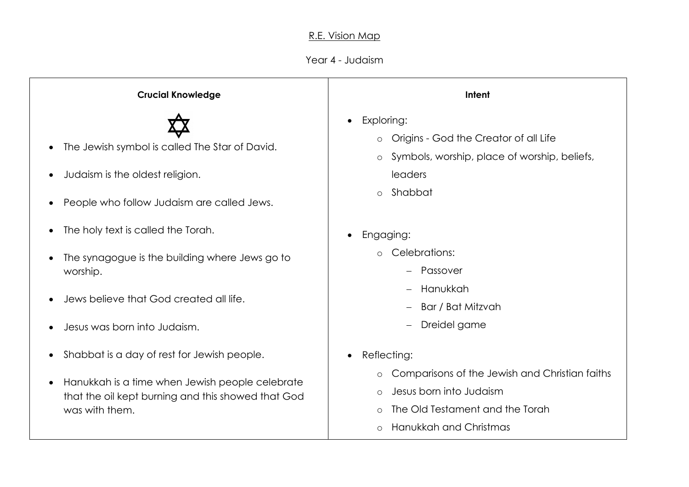## R.E. Vision Map

## Year 4 - Judaism

| <b>Crucial Knowledge</b>                                                                                                                                                            | Intent                                                                                                                                                                                                         |
|-------------------------------------------------------------------------------------------------------------------------------------------------------------------------------------|----------------------------------------------------------------------------------------------------------------------------------------------------------------------------------------------------------------|
| The Jewish symbol is called The Star of David.<br>Judaism is the oldest religion.<br>$\bullet$<br>People who follow Judaism are called Jews.                                        | Exploring:<br>$\bullet$<br>Origins - God the Creator of all Life<br>Symbols, worship, place of worship, beliefs,<br>$\circ$<br>leaders<br>Shabbat<br>$\circ$                                                   |
| The holy text is called the Torah.<br>The synagogue is the building where Jews go to<br>worship.<br>Jews believe that God created all life.                                         | Engaging:<br>$\bullet$<br>Celebrations:<br>Passover<br>Hanukkah<br>Bar / Bat Mitzvah                                                                                                                           |
| Jesus was born into Judaism.                                                                                                                                                        | Dreidel game                                                                                                                                                                                                   |
| Shabbat is a day of rest for Jewish people.<br>Hanukkah is a time when Jewish people celebrate<br>$\bullet$<br>that the oil kept burning and this showed that God<br>was with them. | Reflecting:<br>$\bullet$<br>Comparisons of the Jewish and Christian faiths<br>$\circ$<br>Jesus born into Judaism<br>$\circ$<br>The Old Testament and the Torah<br>$\circ$<br>Hanukkah and Christmas<br>$\circ$ |